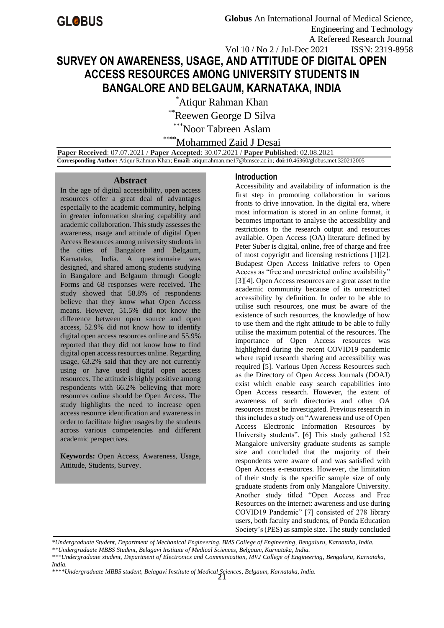# **SURVEY ON AWARENESS, USAGE, AND ATTITUDE OF DIGITAL OPEN ACCESS RESOURCES AMONG UNIVERSITY STUDENTS IN BANGALORE AND BELGAUM, KARNATAKA, INDIA**

\*Atiqur Rahman Khan

\*\*Reewen George D Silva

\*\*\*Noor Tabreen Aslam

\*\*\*\*Mohammed Zaid J Desai

 **Paper Received**: 07.07.2021 / **Paper Accepted**: 30.07.2021 / **Paper Published**: 02.08.2021  **Corresponding Author:** Atiqur Rahman Khan; **Email:** atiqurrahman.me17@bmsce.ac.in*;* **doi:**10.46360/globus.met.320212005

#### **Abstract**

In the age of digital accessibility, open access resources offer a great deal of advantages especially to the academic community, helping in greater information sharing capability and academic collaboration. This study assesses the awareness, usage and attitude of digital Open Access Resources among university students in the cities of Bangalore and Belgaum, Karnataka, India. A questionnaire was designed, and shared among students studying in Bangalore and Belgaum through Google Forms and 68 responses were received. The study showed that 58.8% of respondents believe that they know what Open Access means. However, 51.5% did not know the difference between open source and open access, 52.9% did not know how to identify digital open access resources online and 55.9% reported that they did not know how to find digital open access resources online. Regarding usage, 63.2% said that they are not currently using or have used digital open access resources. The attitude is highly positive among respondents with 66.2% believing that more resources online should be Open Access. The study highlights the need to increase open access resource identification and awareness in order to facilitate higher usages by the students across various competencies and different academic perspectives.

**Keywords:** Open Access, Awareness, Usage, Attitude, Students, Survey.

## **Introduction**

Accessibility and availability of information is the first step in promoting collaboration in various fronts to drive innovation. In the digital era, where most information is stored in an online format, it becomes important to analyse the accessibility and restrictions to the research output and resources available. Open Access (OA) literature defined by Peter Suber is digital, online, free of charge and free of most copyright and licensing restrictions [1][2]. Budapest Open Access Initiative refers to Open Access as "free and unrestricted online availability" [3][4]. Open Access resources are a great asset to the academic community because of its unrestricted accessibility by definition. In order to be able to utilise such resources, one must be aware of the existence of such resources, the knowledge of how to use them and the right attitude to be able to fully utilise the maximum potential of the resources. The importance of Open Access resources was highlighted during the recent COVID19 pandemic where rapid research sharing and accessibility was required [5]. Various Open Access Resources such as the Directory of Open Access Journals (DOAJ) exist which enable easy search capabilities into Open Access research. However, the extent of awareness of such directories and other OA resources must be investigated. Previous research in this includes a study on "Awareness and use of Open Access Electronic Information Resources by University students". [6] This study gathered 152 Mangalore university graduate students as sample size and concluded that the majority of their respondents were aware of and was satisfied with Open Access e-resources. However, the limitation of their study is the specific sample size of only graduate students from only Mangalore University. Another study titled "Open Access and Free Resources on the internet: awareness and use during COVID19 Pandemic" [7] consisted of 278 library users, both faculty and students, of Ponda Education Society's (PES) as sample size. The study concluded

*\*Undergraduate Student, Department of Mechanical Engineering, BMS College of Engineering, Bengaluru, Karnataka, India. \*\*Undergraduate MBBS Student, Belagavi Institute of Medical Sciences, Belgaum, Karnataka, India.*

*<sup>\*\*\*</sup>Undergraduate student, Department of Electronics and Communication, MVJ College of Engineering, Bengaluru, Karnataka, India.*

<sup>21</sup> *\*\*\*\*Undergraduate MBBS student, Belagavi Institute of Medical Sciences, Belgaum, Karnataka, India.*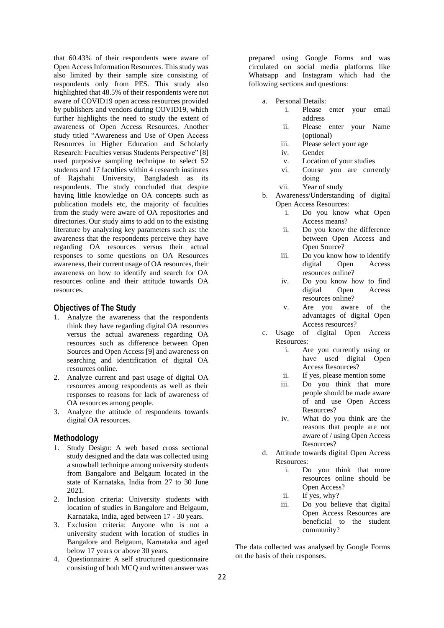that 60.43% of their respondents were aware of Open Access Information Resources. This study was also limited by their sample size consisting of respondents only from PES. This study also highlighted that 48.5% of their respondents were not aware of COVID19 open access resources provided by publishers and vendors during COVID19, which further highlights the need to study the extent of awareness of Open Access Resources. Another study titled "Awareness and Use of Open Access Resources in Higher Education and Scholarly Research: Faculties versus Students Perspective" [8] used purposive sampling technique to select 52 students and 17 faculties within 4 research institutes of Rajshahi University, Bangladesh as its respondents. The study concluded that despite having little knowledge on OA concepts such as publication models etc, the majority of faculties from the study were aware of OA repositories and directories. Our study aims to add on to the existing literature by analyzing key parameters such as: the awareness that the respondents perceive they have regarding OA resources versus their actual responses to some questions on OA Resources awareness, their current usage of OA resources, their awareness on how to identify and search for OA resources online and their attitude towards OA resources.

### **Objectives of The Study**

- 1. Analyze the awareness that the respondents think they have regarding digital OA resources versus the actual awareness regarding OA resources such as difference between Open Sources and Open Access [9] and awareness on searching and identification of digital OA resources online.
- 2. Analyze current and past usage of digital OA resources among respondents as well as their responses to reasons for lack of awareness of OA resources among people.
- 3. Analyze the attitude of respondents towards digital OA resources.

## **Methodology**

- 1. Study Design: A web based cross sectional study designed and the data was collected using a snowball technique among university students from Bangalore and Belgaum located in the state of Karnataka, India from 27 to 30 June 2021.
- 2. Inclusion criteria: University students with location of studies in Bangalore and Belgaum, Karnataka, India, aged between 17 - 30 years.
- 3. Exclusion criteria: Anyone who is not a university student with location of studies in Bangalore and Belgaum, Karnataka and aged below 17 years or above 30 years.
- 4. Questionnaire: A self structured questionnaire consisting of both MCQ and written answer was

prepared using Google Forms and was circulated on social media platforms like Whatsapp and Instagram which had the following sections and questions:

- a. Personal Details:
	- i. Please enter your email address
	- ii. Please enter your Name (optional)
	- iii. Please select your age
	- iv. Gender
	- v. Location of your studies
	- vi. Course you are currently doing
	- vii. Year of study
- b. Awareness/Understanding of digital Open Access Resources:
	- i. Do you know what Open Access means?
	- ii. Do you know the difference between Open Access and Open Source?
	- iii. Do you know how to identify digital Open Access resources online?
	- iv. Do you know how to find digital Open Access resources online?
	- v. Are you aware of the advantages of digital Open Access resources?
- c. Usage of digital Open Access Resources:
	- i. Are you currently using or have used digital Open Access Resources?
	- ii. If yes, please mention some
	- iii. Do you think that more people should be made aware of and use Open Access Resources?
	- iv. What do you think are the reasons that people are not aware of / using Open Access Resources?
- d. Attitude towards digital Open Access Resources:
	- i. Do you think that more resources online should be Open Access?
	- ii. If yes, why?
	- iii. Do you believe that digital Open Access Resources are beneficial to the student community?

The data collected was analysed by Google Forms on the basis of their responses.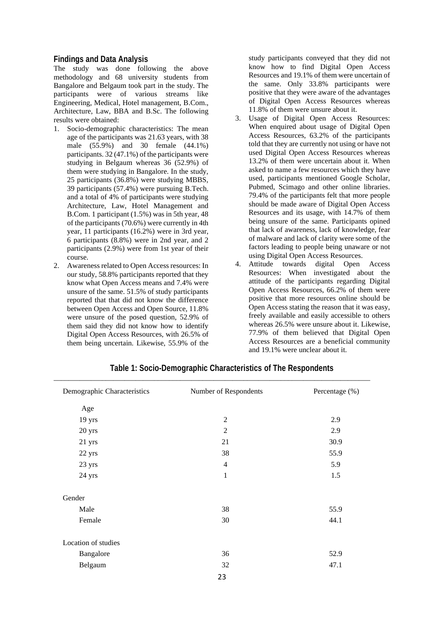# **Findings and Data Analysis**

The study was done following the above methodology and 68 university students from Bangalore and Belgaum took part in the study. The participants were of various streams like Engineering, Medical, Hotel management, B.Com., Architecture, Law, BBA and B.Sc. The following results were obtained:

- 1. Socio-demographic characteristics: The mean age of the participants was 21.63 years, with 38 male (55.9%) and 30 female (44.1%) participants. 32 (47.1%) of the participants were studying in Belgaum whereas 36 (52.9%) of them were studying in Bangalore. In the study, 25 participants (36.8%) were studying MBBS, 39 participants (57.4%) were pursuing B.Tech. and a total of 4% of participants were studying Architecture, Law, Hotel Management and B.Com. 1 participant (1.5%) was in 5th year, 48 of the participants (70.6%) were currently in 4th year, 11 participants (16.2%) were in 3rd year, 6 participants (8.8%) were in 2nd year, and 2 participants (2.9%) were from 1st year of their course.
- 2. Awareness related to Open Access resources: In our study, 58.8% participants reported that they know what Open Access means and 7.4% were unsure of the same. 51.5% of study participants reported that that did not know the difference between Open Access and Open Source, 11.8% were unsure of the posed question, 52.9% of them said they did not know how to identify Digital Open Access Resources, with 26.5% of them being uncertain. Likewise, 55.9% of the

study participants conveyed that they did not know how to find Digital Open Access Resources and 19.1% of them were uncertain of the same. Only 33.8% participants were positive that they were aware of the advantages of Digital Open Access Resources whereas 11.8% of them were unsure about it.

- 3. Usage of Digital Open Access Resources: When enquired about usage of Digital Open Access Resources, 63.2% of the participants told that they are currently not using or have not used Digital Open Access Resources whereas 13.2% of them were uncertain about it. When asked to name a few resources which they have used, participants mentioned Google Scholar, Pubmed, Scimago and other online libraries. 79.4% of the participants felt that more people should be made aware of Digital Open Access Resources and its usage, with 14.7% of them being unsure of the same. Participants opined that lack of awareness, lack of knowledge, fear of malware and lack of clarity were some of the factors leading to people being unaware or not using Digital Open Access Resources.
- 4. Attitude towards digital Open Access Resources: When investigated about the attitude of the participants regarding Digital Open Access Resources, 66.2% of them were positive that more resources online should be Open Access stating the reason that it was easy, freely available and easily accessible to others whereas 26.5% were unsure about it. Likewise, 77.9% of them believed that Digital Open Access Resources are a beneficial community and 19.1% were unclear about it.

| Demographic Characteristics | Number of Respondents | Percentage (%) |  |
|-----------------------------|-----------------------|----------------|--|
| Age                         |                       |                |  |
| 19 yrs                      | $\mathfrak{2}$        | 2.9            |  |
| 20 yrs                      | $\overline{2}$        | 2.9            |  |
| 21 yrs                      | 21                    | 30.9           |  |
| 22 yrs                      | 38                    | 55.9           |  |
| 23 yrs                      | $\overline{4}$        | 5.9            |  |
| 24 yrs                      | $\mathbf{1}$          | 1.5            |  |
| Gender                      |                       |                |  |
| Male                        | 38                    | 55.9           |  |
| Female                      | 30                    | 44.1           |  |
| Location of studies         |                       |                |  |
| Bangalore                   | 36                    | 52.9           |  |
| Belgaum                     | 32                    | 47.1           |  |
|                             | 23                    |                |  |

# **Table 1: Socio-Demographic Characteristics of The Respondents**

\_\_\_\_\_\_\_\_\_\_\_\_\_\_\_\_\_\_\_\_\_\_\_\_\_\_\_\_\_\_\_\_\_\_\_\_\_\_\_\_\_\_\_\_\_\_\_\_\_\_\_\_\_\_\_\_\_\_\_\_\_\_\_\_\_\_\_\_\_\_\_\_\_\_\_\_\_\_\_\_\_\_\_\_\_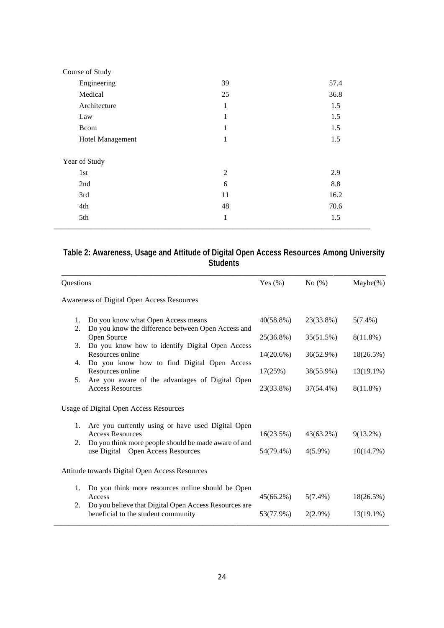| Course of Study  |                |      |
|------------------|----------------|------|
| Engineering      | 39             | 57.4 |
| Medical          | 25             | 36.8 |
| Architecture     | $\mathbf{1}$   | 1.5  |
| Law              | $\mathbf{1}$   | 1.5  |
| Bcom             | $\mathbf{1}$   | 1.5  |
| Hotel Management | $\mathbf{1}$   | 1.5  |
|                  |                |      |
| Year of Study    |                |      |
| 1st              | $\overline{2}$ | 2.9  |
| 2nd              | 6              | 8.8  |
| 3rd              | 11             | 16.2 |
| 4th              | 48             | 70.6 |
| 5th              | $\mathbf{1}$   | 1.5  |
|                  |                |      |

# **Table 2: Awareness, Usage and Attitude of Digital Open Access Resources Among University Students**

| Questions |                                                                                              | Yes $(\% )$  | No $(\%)$    | $Maybe(\%)$  |
|-----------|----------------------------------------------------------------------------------------------|--------------|--------------|--------------|
|           | Awareness of Digital Open Access Resources                                                   |              |              |              |
| 1.        | Do you know what Open Access means                                                           | $40(58.8\%)$ | 23(33.8%)    | $5(7.4\%)$   |
| 2.        | Do you know the difference between Open Access and<br>Open Source                            | 25(36.8%)    | 35(51.5%)    | $8(11.8\%)$  |
| 3.        | Do you know how to identify Digital Open Access<br>Resources online                          | 14(20.6%)    | 36(52.9%)    | 18(26.5%)    |
| 4.        | Do you know how to find Digital Open Access<br>Resources online                              | 17(25%)      | 38(55.9%)    | $13(19.1\%)$ |
| 5.        | Are you aware of the advantages of Digital Open<br><b>Access Resources</b>                   | 23(33.8%)    | 37(54.4%)    | $8(11.8\%)$  |
|           | <b>Usage of Digital Open Access Resources</b>                                                |              |              |              |
| 1.        | Are you currently using or have used Digital Open<br><b>Access Resources</b>                 | 16(23.5%)    | $43(63.2\%)$ | $9(13.2\%)$  |
| 2.        | Do you think more people should be made aware of and<br>use Digital Open Access Resources    | 54(79.4%)    | $4(5.9\%)$   | 10(14.7%)    |
|           | Attitude towards Digital Open Access Resources                                               |              |              |              |
|           | 1. Do you think more resources online should be Open                                         |              |              |              |
|           | Access                                                                                       | $45(66.2\%)$ | $5(7.4\%)$   | 18(26.5%)    |
| 2.        | Do you believe that Digital Open Access Resources are<br>beneficial to the student community | 53(77.9%)    | $2(2.9\%)$   | $13(19.1\%)$ |